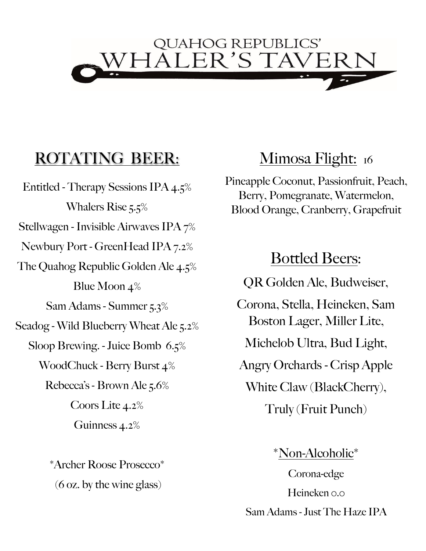

### ROTATING BEER:

Entitled - Therapy Sessions IPA 4.5% Whalers Rise 5.5% Stellwagen - Invisible Airwaves IPA 7% Newbury Port - GreenHead IPA 7.2% The Quahog Republic Golden Ale 4.5% Blue Moon 4% Sam Adams - Summer 5.3% Seadog - Wild Blueberry Wheat Ale 5.2% Sloop Brewing. - Juice Bomb 6.5% WoodChuck - Berry Burst 4% Rebecca's - Brown Ale 5.6% Coors Lite 4.2% Guinness 4.2%

> \*Archer Roose Prosecco\* (6 oz. by the wine glass)

### Mimosa Flight: 16

Pineapple Coconut, Passionfruit, Peach, Berry, Pomegranate, Watermelon, Blood Orange, Cranberry, Grapefruit

### Bottled Beers:

QR Golden Ale, Budweiser,

Corona, Stella, Heineken, Sam Boston Lager, Miller Lite,

Michelob Ultra, Bud Light,

Angry Orchards - Crisp Apple

White Claw (BlackCherry),

Truly (Fruit Punch)

#### \*Non-Alcoholic\*

Corona-edge Heineken 0.0 Sam Adams - Just The Haze IPA